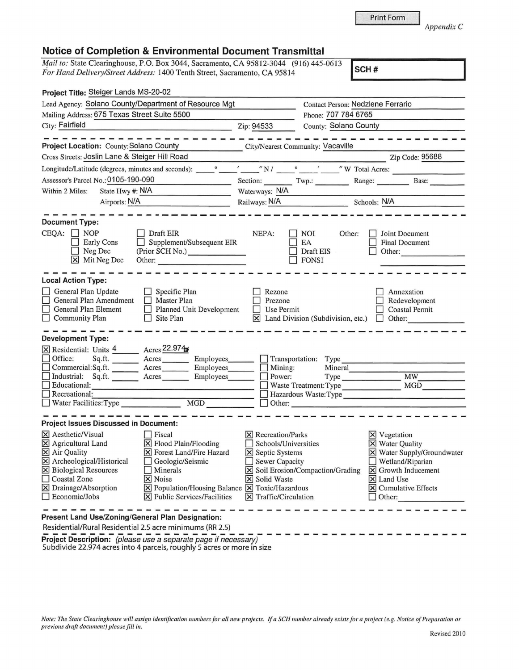## **Notice of Completion & Environmental Document Transmittal**

*Mail to: State Clearinghouse, P.O. Box 3044, Sacramento, CA 95812-3044* (916) 445-0613 *For Hand Delivery/Street Address:* 1400 Tenth Street, Sacramento, CA 95814 **SCH # SCH # SCH # SCH # SCH # SCH # SCH # SCH # SCH # SCH # SCH # SCH # SCH # SCH # SCH # SCH # SCH # SCH # S** 

| Project Title: Steiger Lands MS-20-02                                                                                                                                                                                                                                                                                                                                                                                                                           |                                                                                                                                                    |                                                         |                                                                                                                                                                                 |  |
|-----------------------------------------------------------------------------------------------------------------------------------------------------------------------------------------------------------------------------------------------------------------------------------------------------------------------------------------------------------------------------------------------------------------------------------------------------------------|----------------------------------------------------------------------------------------------------------------------------------------------------|---------------------------------------------------------|---------------------------------------------------------------------------------------------------------------------------------------------------------------------------------|--|
| Lead Agency: Solano County/Department of Resource Mgt                                                                                                                                                                                                                                                                                                                                                                                                           |                                                                                                                                                    | Contact Person: Nedzlene Ferrario                       |                                                                                                                                                                                 |  |
| Mailing Address: 675 Texas Street Suite 5500                                                                                                                                                                                                                                                                                                                                                                                                                    |                                                                                                                                                    |                                                         | Phone: 707 784 6765                                                                                                                                                             |  |
| City: Fairfield                                                                                                                                                                                                                                                                                                                                                                                                                                                 | Zip: 94533                                                                                                                                         | County: Solano County                                   |                                                                                                                                                                                 |  |
| -----------------<br>Project Location: County: Solano County                                                                                                                                                                                                                                                                                                                                                                                                    | City/Nearest Community: Vacaville                                                                                                                  |                                                         |                                                                                                                                                                                 |  |
| Cross Streets: Joslin Lane & Steiger Hill Road                                                                                                                                                                                                                                                                                                                                                                                                                  |                                                                                                                                                    |                                                         | Zip Code: 95688                                                                                                                                                                 |  |
|                                                                                                                                                                                                                                                                                                                                                                                                                                                                 |                                                                                                                                                    |                                                         | Zip Code: 95688                                                                                                                                                                 |  |
| Longitude/Latitude (degrees, minutes and seconds):                                                                                                                                                                                                                                                                                                                                                                                                              |                                                                                                                                                    |                                                         |                                                                                                                                                                                 |  |
| Assessor's Parcel No.: 0105-190-090                                                                                                                                                                                                                                                                                                                                                                                                                             |                                                                                                                                                    |                                                         | Section: Twp.: Range: Base:                                                                                                                                                     |  |
| State Hwy #: N/A<br>Within 2 Miles:                                                                                                                                                                                                                                                                                                                                                                                                                             | Waterways: N/A                                                                                                                                     |                                                         |                                                                                                                                                                                 |  |
| Airports: N/A<br>the control of the control of the control of the control of                                                                                                                                                                                                                                                                                                                                                                                    |                                                                                                                                                    |                                                         | Railways: N/A Schools: N/A                                                                                                                                                      |  |
| <b>Document Type:</b>                                                                                                                                                                                                                                                                                                                                                                                                                                           |                                                                                                                                                    |                                                         |                                                                                                                                                                                 |  |
| $CEQA: \Box NOP$<br>Draft EIR<br>$\Box$ Supplement/Subsequent EIR<br><b>Early Cons</b><br>(Prior SCH No.)<br>Neg Dec<br>n.<br>X Mit Neg Dec                                                                                                                                                                                                                                                                                                                     | NEPA:                                                                                                                                              | NOI<br>EA<br>Draft EIS<br><b>FONSI</b>                  | Joint Document<br>Other:<br><b>Final Document</b><br>Other:                                                                                                                     |  |
| <b>Local Action Type:</b><br>General Plan Update<br>$\Box$ Specific Plan<br>General Plan Amendment<br>$\Box$ Master Plan<br>Planned Unit Development<br>General Plan Element<br>$\Box$ Community Plan<br>$\Box$<br>Site Plan                                                                                                                                                                                                                                    | Rezone<br>Prezone<br>Use Permit                                                                                                                    | $\boxtimes$ Land Division (Subdivision, etc.)           | Annexation<br>Redevelopment<br><b>Coastal Permit</b><br>$\Box$ Other:                                                                                                           |  |
| <b>Development Type:</b><br>X Residential: Units 4 Acres 22.974<br>Office:<br>Sq.ft. _________ Acres __________ Employees________                                                                                                                                                                                                                                                                                                                               |                                                                                                                                                    |                                                         | Transportation: Type                                                                                                                                                            |  |
| Commercial:Sq.ft. ________ Acres _______                                                                                                                                                                                                                                                                                                                                                                                                                        | Employees________<br>Mining:                                                                                                                       |                                                         | Mineral                                                                                                                                                                         |  |
| Industrial: Sq.ft. _______ Acres _______<br>Educational:                                                                                                                                                                                                                                                                                                                                                                                                        | Power:<br>Employees________                                                                                                                        |                                                         | MW<br>Type                                                                                                                                                                      |  |
| <u> 1980 - Jan Barnett, fransk politiker (d. 1980)</u><br>$\Box$ Recreational:                                                                                                                                                                                                                                                                                                                                                                                  |                                                                                                                                                    |                                                         | Waste Treatment: Type MGD<br>Hazardous Waste: Type                                                                                                                              |  |
| MGD<br>Water Facilities: Type                                                                                                                                                                                                                                                                                                                                                                                                                                   |                                                                                                                                                    |                                                         | Other:                                                                                                                                                                          |  |
| <b>Project Issues Discussed in Document:</b>                                                                                                                                                                                                                                                                                                                                                                                                                    |                                                                                                                                                    |                                                         |                                                                                                                                                                                 |  |
| X Aesthetic/Visual<br>$\Box$ Fiscal<br>$\boxed{\mathsf{X}}$ Flood Plain/Flooding<br>X Agricultural Land<br>X Air Quality<br><b>X</b> Forest Land/Fire Hazard<br>X Archeological/Historical<br>Geologic/Seismic<br>X Biological Resources<br>Minerals<br><b>Coastal Zone</b><br>X Noise<br>X Drainage/Absorption<br>$\boxed{\mathbf{X}}$ Population/Housing Balance $\boxed{\mathbf{X}}$ Toxic/Hazardous<br>$\Box$ Economic/Jobs<br>X Public Services/Facilities | $\vert\mathsf{X}\vert$ Recreation/Parks<br>X Septic Systems<br>Sewer Capacity<br>Solid Waste<br>Ι×Ι<br>$\overline{\mathsf{X}}$ Traffic/Circulation | Schools/Universities<br>Soil Erosion/Compaction/Grading | $\mathbf{\Sigma}$ Vegetation<br><b>X</b> Water Quality<br>X Water Supply/Groundwater<br>Wetland/Riparian<br>X Growth Inducement<br>X Land Use<br>X Cumulative Effects<br>Other: |  |
| Present Land Use/Zoning/General Plan Designation:                                                                                                                                                                                                                                                                                                                                                                                                               |                                                                                                                                                    |                                                         |                                                                                                                                                                                 |  |
| Residential/Rural Residential 2.5 acre minimums (RR 2.5)                                                                                                                                                                                                                                                                                                                                                                                                        |                                                                                                                                                    |                                                         |                                                                                                                                                                                 |  |
| Project Description: (please use a separate page if necessary)                                                                                                                                                                                                                                                                                                                                                                                                  |                                                                                                                                                    |                                                         |                                                                                                                                                                                 |  |

Subdivide 22.974 acres into 4 parcels, roughly 5 acres or more in size

*AppendixC* 

Print Form